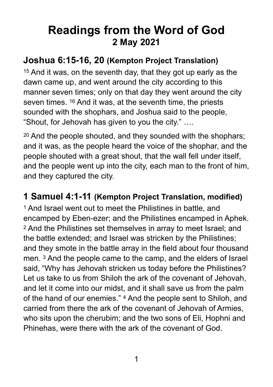# **Readings from the Word of God 2 May 2021**

#### **Joshua 6:15-16, 20 (Kempton Project Translation)**

15 And it was, on the seventh day, that they got up early as the dawn came up, and went around the city according to this manner seven times; only on that day they went around the city seven times. <sup>16</sup> And it was, at the seventh time, the priests sounded with the shophars, and Joshua said to the people, "Shout, for Jehovah has given to you the city." ….

20 And the people shouted, and they sounded with the shophars; and it was, as the people heard the voice of the shophar, and the people shouted with a great shout, that the wall fell under itself, and the people went up into the city, each man to the front of him, and they captured the city.

#### **1 Samuel 4:1-11 (Kempton Project Translation, modified)**

1 And Israel went out to meet the Philistines in battle, and encamped by Eben-ezer; and the Philistines encamped in Aphek. 2 And the Philistines set themselves in array to meet Israel; and the battle extended; and Israel was stricken by the Philistines; and they smote in the battle array in the field about four thousand men. 3 And the people came to the camp, and the elders of Israel said, "Why has Jehovah stricken us today before the Philistines? Let us take to us from Shiloh the ark of the covenant of Jehovah, and let it come into our midst, and it shall save us from the palm of the hand of our enemies." 4 And the people sent to Shiloh, and carried from there the ark of the covenant of Jehovah of Armies, who sits upon the cherubim; and the two sons of Eli, Hophni and Phinehas, were there with the ark of the covenant of God.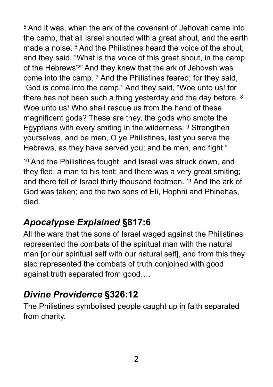5 And it was, when the ark of the covenant of Jehovah came into the camp, that all Israel shouted with a great shout, and the earth made a noise. 6 And the Philistines heard the voice of the shout, and they said, "What is the voice of this great shout, in the camp of the Hebrews?" And they knew that the ark of Jehovah was come into the camp. 7 And the Philistines feared; for they said, "God is come into the camp." And they said, "Woe unto us! for there has not been such a thing yesterday and the day before. 8 Woe unto us! Who shall rescue us from the hand of these magnificent gods? These are they, the gods who smote the Egyptians with every smiting in the wilderness. 9 Strengthen yourselves, and be men, O ye Philistines, lest you serve the Hebrews, as they have served you; and be men, and fight."

10 And the Philistines fought, and Israel was struck down, and they fled, a man to his tent; and there was a very great smiting; and there fell of Israel thirty thousand footmen. 11 And the ark of God was taken; and the two sons of Eli, Hophni and Phinehas, died.

## *Apocalypse Explained* **§817:6**

All the wars that the sons of Israel waged against the Philistines represented the combats of the spiritual man with the natural man [or our spiritual self with our natural self], and from this they also represented the combats of truth conjoined with good against truth separated from good….

## *Divine Providence* **§326:12**

The Philistines symbolised people caught up in faith separated from charity.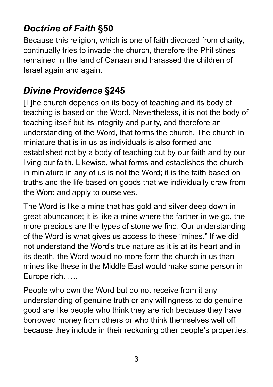## *Doctrine of Faith* **§50**

Because this religion, which is one of faith divorced from charity, continually tries to invade the church, therefore the Philistines remained in the land of Canaan and harassed the children of Israel again and again.

## *Divine Providence* **§245**

[T]he church depends on its body of teaching and its body of teaching is based on the Word. Nevertheless, it is not the body of teaching itself but its integrity and purity, and therefore an understanding of the Word, that forms the church. The church in miniature that is in us as individuals is also formed and established not by a body of teaching but by our faith and by our living our faith. Likewise, what forms and establishes the church in miniature in any of us is not the Word; it is the faith based on truths and the life based on goods that we individually draw from the Word and apply to ourselves.

The Word is like a mine that has gold and silver deep down in great abundance; it is like a mine where the farther in we go, the more precious are the types of stone we find. Our understanding of the Word is what gives us access to these "mines." If we did not understand the Word's true nature as it is at its heart and in its depth, the Word would no more form the church in us than mines like these in the Middle East would make some person in Europe rich. ….

People who own the Word but do not receive from it any understanding of genuine truth or any willingness to do genuine good are like people who think they are rich because they have borrowed money from others or who think themselves well off because they include in their reckoning other people's properties,